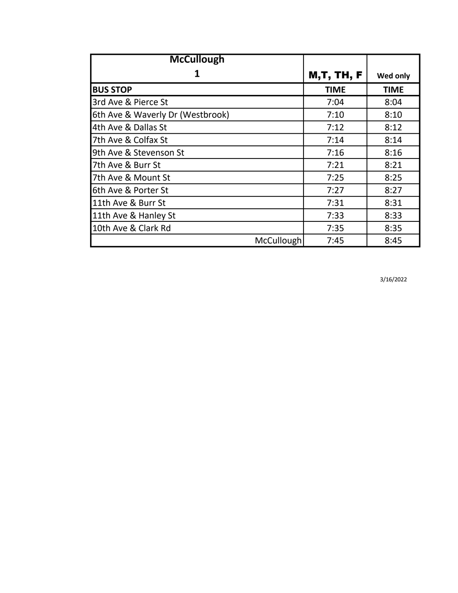| <b>McCullough</b>                |                   |             |
|----------------------------------|-------------------|-------------|
| 1                                | <b>M,T, TH, F</b> | Wed only    |
| <b>BUS STOP</b>                  | <b>TIME</b>       | <b>TIME</b> |
| 3rd Ave & Pierce St              | 7:04              | 8:04        |
| 6th Ave & Waverly Dr (Westbrook) | 7:10              | 8:10        |
| 4th Ave & Dallas St              | 7:12              | 8:12        |
| 7th Ave & Colfax St              | 7:14              | 8:14        |
| 9th Ave & Stevenson St           | 7:16              | 8:16        |
| 7th Ave & Burr St                | 7:21              | 8:21        |
| 7th Ave & Mount St               | 7:25              | 8:25        |
| 6th Ave & Porter St              | 7:27              | 8:27        |
| 11th Ave & Burr St               | 7:31              | 8:31        |
| 11th Ave & Hanley St             | 7:33              | 8:33        |
| 10th Ave & Clark Rd              | 7:35              | 8:35        |
| McCullough                       | 7:45              | 8:45        |

3/16/2022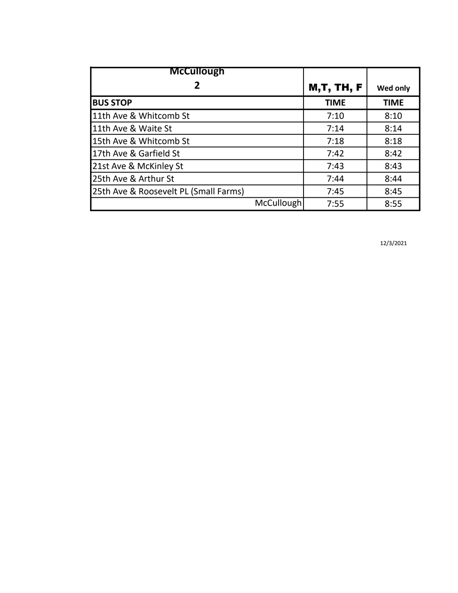| <b>McCullough</b>                     |            |                   |                 |
|---------------------------------------|------------|-------------------|-----------------|
| 2                                     |            | <b>M,T, TH, F</b> | <b>Wed only</b> |
| <b>BUS STOP</b>                       |            | <b>TIME</b>       | <b>TIME</b>     |
| 11th Ave & Whitcomb St                |            | 7:10              | 8:10            |
| 11th Ave & Waite St                   |            | 7:14              | 8:14            |
| 15th Ave & Whitcomb St                |            | 7:18              | 8:18            |
| 17th Ave & Garfield St                |            | 7:42              | 8:42            |
| 21st Ave & McKinley St                |            | 7:43              | 8:43            |
| 25th Ave & Arthur St                  |            | 7:44              | 8:44            |
| 25th Ave & Roosevelt PL (Small Farms) |            | 7:45              | 8:45            |
|                                       | McCullough | 7:55              | 8:55            |

12/3/2021